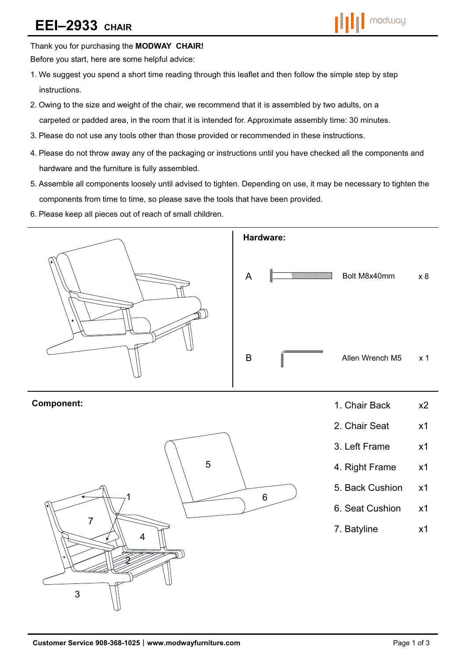# **EEI–2933 CHAIR**



Thank you for purchasing the **MODWAY CHAIR!** 

Before you start, here are some helpful advice:

- 1.We suggest you spend a short time reading through this leaflet and then follow the simple step by step instructions.
- 2.Owing to the size and weight of the chair, we recommend that it is assembled by two adults, on a carpeted or padded area, in the room that it is intended for. Approximate assembly time: 30 minutes.
- 3.Please do not use any tools other than those provided or recommended in these instructions.
- 4.Please do not throw away any of the packaging or instructions until you have checked all the components and hardware and the furniture is fully assembled.
- 5.Assemble all components loosely until advised to tighten. Depending on use, it may be necessary to tighten the components from time to time, so please save the tools that have been provided.
- 6.Please keep all pieces out of reach of small children.



7. Batyline x1

2

4

3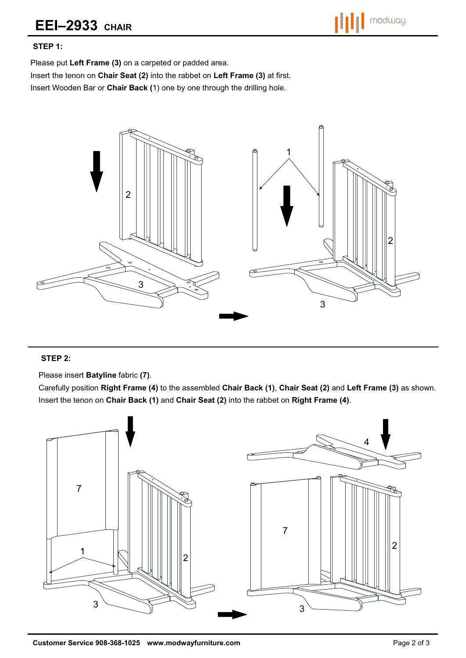

## **STEP 1:**

Please put **Left Frame (3)** on a carpeted or padded area.

Insert the tenon on **Chair Seat (2)** into the rabbet on **Left Frame (3)** at first.

Insert Wooden Bar or **Chair Back (**1) one by one through the drilling hole.



## **STEP 2:**

Please insert **Batyline** fabric **(7)**.

Carefully position **Right Frame (4)** to the assembled **Chair Back (1)**, **Chair Seat (2)** and **Left Frame (3)** as shown. Insert the tenon on **Chair Back (1)** and **Chair Seat (2)** into the rabbet on **Right Frame (4)**.